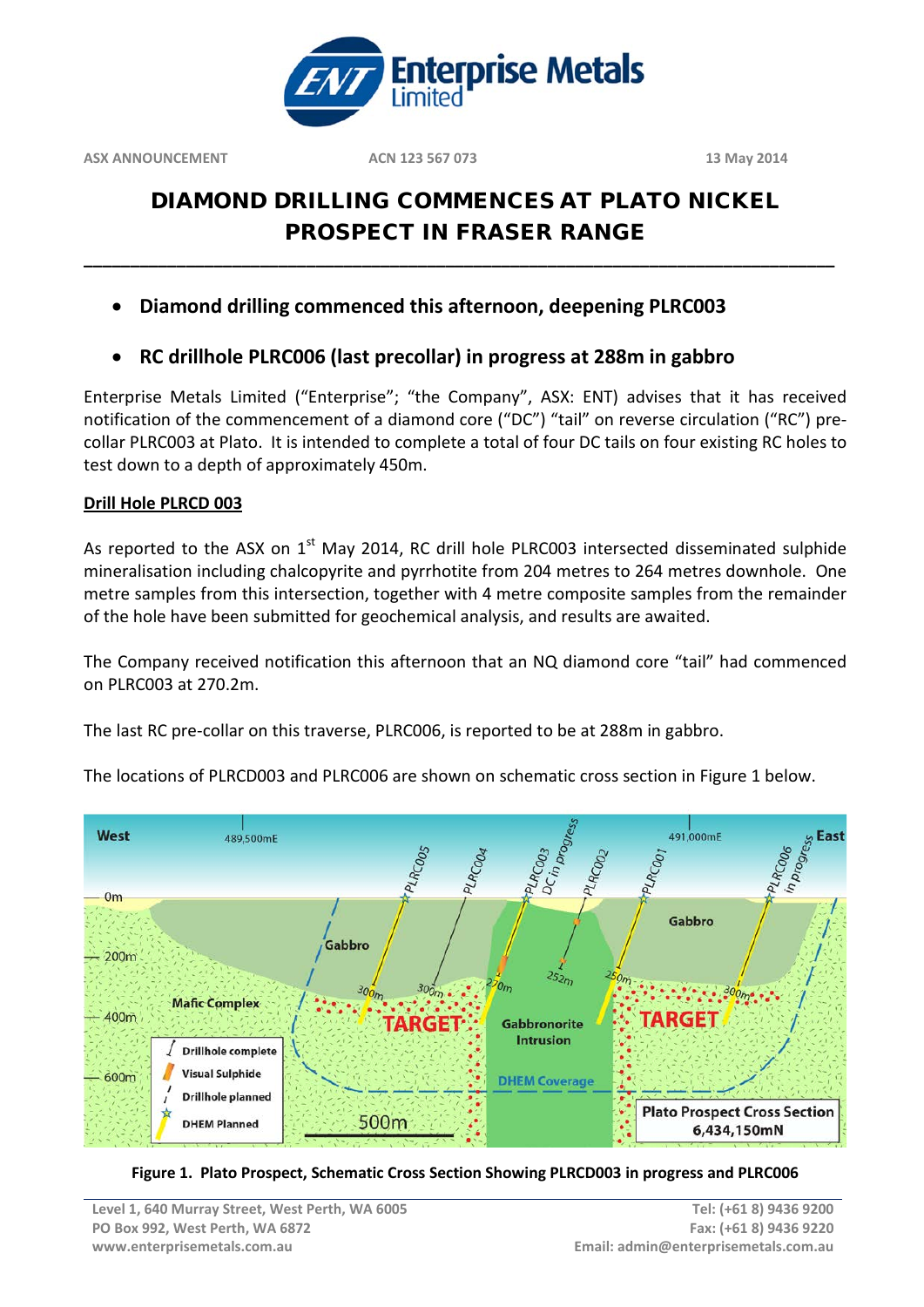

# DIAMOND DRILLING COMMENCES AT PLATO NICKEL PROSPECT IN FRASER RANGE

**\_\_\_\_\_\_\_\_\_\_\_\_\_\_\_\_\_\_\_\_\_\_\_\_\_\_\_\_\_\_\_\_\_\_\_\_\_\_\_\_\_\_\_\_\_\_\_\_\_\_\_\_\_\_\_\_\_\_\_\_\_\_\_\_\_\_\_\_\_\_\_\_\_\_\_\_\_\_\_\_\_**

- **Diamond drilling commenced this afternoon, deepening PLRC003**
- **RC drillhole PLRC006 (last precollar) in progress at 288m in gabbro**

Enterprise Metals Limited ("Enterprise"; "the Company", ASX: ENT) advises that it has received notification of the commencement of a diamond core ("DC") "tail" on reverse circulation ("RC") precollar PLRC003 at Plato. It is intended to complete a total of four DC tails on four existing RC holes to test down to a depth of approximately 450m.

## **Drill Hole PLRCD 003**

As reported to the ASX on  $1<sup>st</sup>$  May 2014, RC drill hole PLRC003 intersected disseminated sulphide mineralisation including chalcopyrite and pyrrhotite from 204 metres to 264 metres downhole. One metre samples from this intersection, together with 4 metre composite samples from the remainder of the hole have been submitted for geochemical analysis, and results are awaited.

The Company received notification this afternoon that an NQ diamond core "tail" had commenced on PLRC003 at 270.2m.

The last RC pre-collar on this traverse, PLRC006, is reported to be at 288m in gabbro.



The locations of PLRCD003 and PLRC006 are shown on schematic cross section in Figure 1 below.

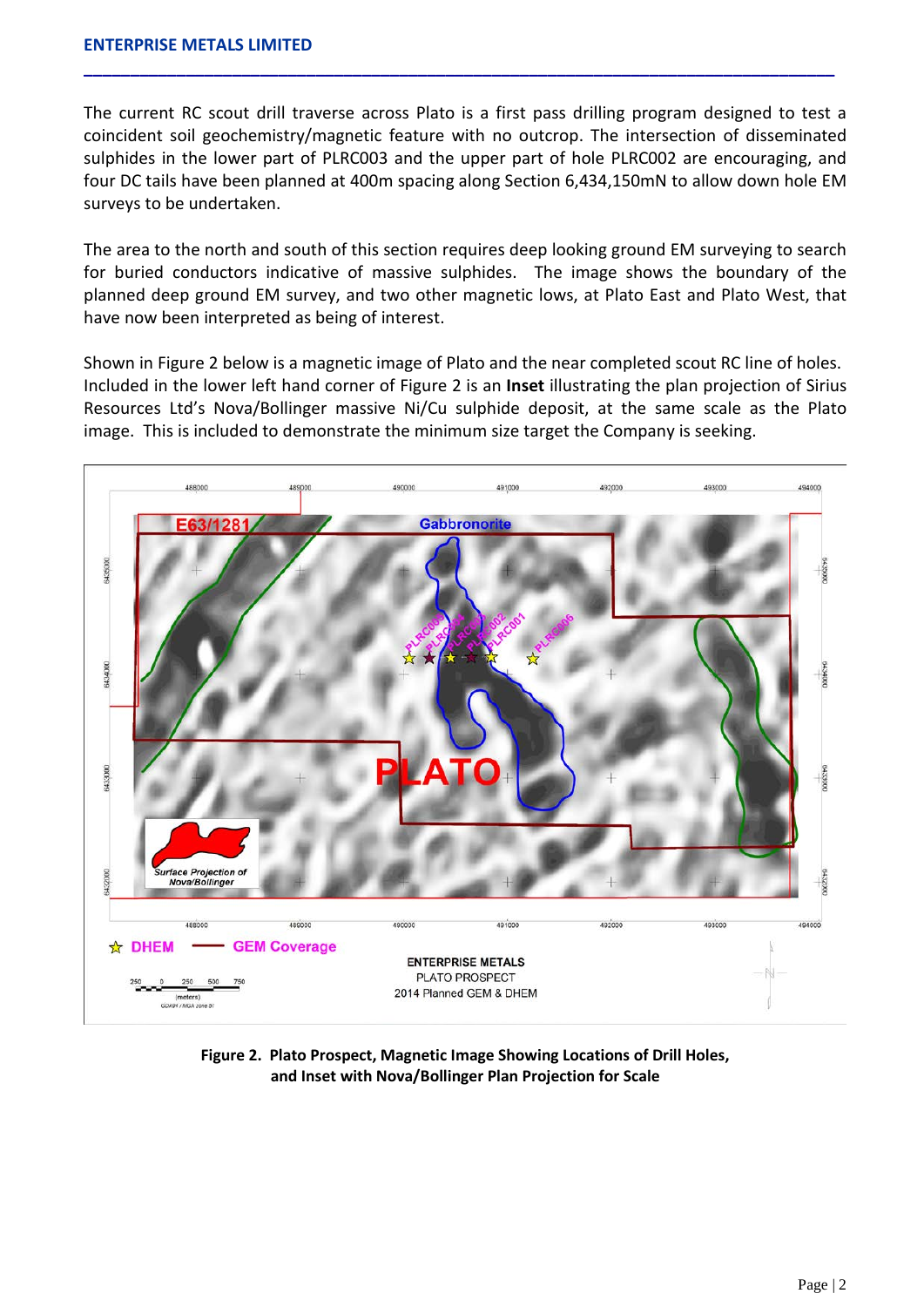The current RC scout drill traverse across Plato is a first pass drilling program designed to test a coincident soil geochemistry/magnetic feature with no outcrop. The intersection of disseminated sulphides in the lower part of PLRC003 and the upper part of hole PLRC002 are encouraging, and four DC tails have been planned at 400m spacing along Section 6,434,150mN to allow down hole EM surveys to be undertaken.

**\_\_\_\_\_\_\_\_\_\_\_\_\_\_\_\_\_\_\_\_\_\_\_\_\_\_\_\_\_\_\_\_\_\_\_\_\_\_\_\_\_\_\_\_\_\_\_\_\_\_\_\_\_\_\_\_\_\_\_\_\_\_\_\_\_\_\_\_\_\_\_\_\_\_\_\_\_\_\_\_\_**

The area to the north and south of this section requires deep looking ground EM surveying to search for buried conductors indicative of massive sulphides. The image shows the boundary of the planned deep ground EM survey, and two other magnetic lows, at Plato East and Plato West, that have now been interpreted as being of interest.

Shown in Figure 2 below is a magnetic image of Plato and the near completed scout RC line of holes. Included in the lower left hand corner of Figure 2 is an **Inset** illustrating the plan projection of Sirius Resources Ltd's Nova/Bollinger massive Ni/Cu sulphide deposit, at the same scale as the Plato image. This is included to demonstrate the minimum size target the Company is seeking.



**Figure 2. Plato Prospect, Magnetic Image Showing Locations of Drill Holes, and Inset with Nova/Bollinger Plan Projection for Scale**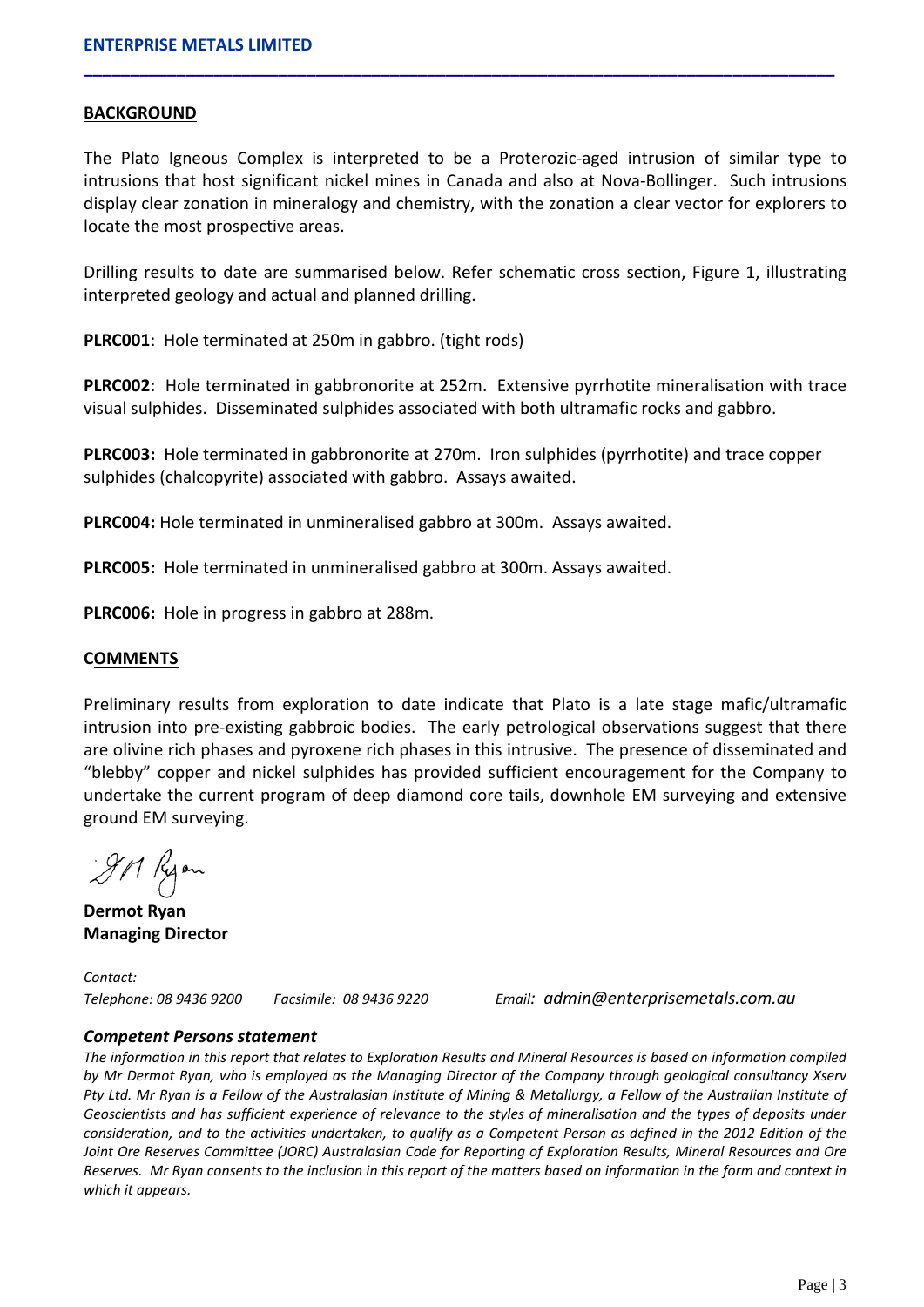#### **BACKGROUND**

The Plato Igneous Complex is interpreted to be a Proterozic-aged intrusion of similar type to intrusions that host significant nickel mines in Canada and also at Nova-Bollinger. Such intrusions display clear zonation in mineralogy and chemistry, with the zonation a clear vector for explorers to locate the most prospective areas.

**\_\_\_\_\_\_\_\_\_\_\_\_\_\_\_\_\_\_\_\_\_\_\_\_\_\_\_\_\_\_\_\_\_\_\_\_\_\_\_\_\_\_\_\_\_\_\_\_\_\_\_\_\_\_\_\_\_\_\_\_\_\_\_\_\_\_\_\_\_\_\_\_\_\_\_\_\_\_\_\_\_**

Drilling results to date are summarised below. Refer schematic cross section, Figure 1, illustrating interpreted geology and actual and planned drilling.

**PLRC001**: Hole terminated at 250m in gabbro. (tight rods)

**PLRC002**: Hole terminated in gabbronorite at 252m. Extensive pyrrhotite mineralisation with trace visual sulphides. Disseminated sulphides associated with both ultramafic rocks and gabbro.

**PLRC003:** Hole terminated in gabbronorite at 270m. Iron sulphides (pyrrhotite) and trace copper sulphides (chalcopyrite) associated with gabbro. Assays awaited.

**PLRC004:** Hole terminated in unmineralised gabbro at 300m. Assays awaited.

**PLRC005:** Hole terminated in unmineralised gabbro at 300m. Assays awaited.

**PLRC006:** Hole in progress in gabbro at 288m.

#### **COMMENTS**

Preliminary results from exploration to date indicate that Plato is a late stage mafic/ultramafic intrusion into pre-existing gabbroic bodies. The early petrological observations suggest that there are olivine rich phases and pyroxene rich phases in this intrusive. The presence of disseminated and "blebby" copper and nickel sulphides has provided sufficient encouragement for the Company to undertake the current program of deep diamond core tails, downhole EM surveying and extensive ground EM surveying.

911 Ryon

**Dermot Ryan Managing Director**

*Contact:* 

*Telephone: 08 9436 9200 Facsimile: 08 9436 9220 Email: admin@enterprisemetals.com.au*

#### *Competent Persons statement*

*The information in this report that relates to Exploration Results and Mineral Resources is based on information compiled by Mr Dermot Ryan, who is employed as the Managing Director of the Company through geological consultancy Xserv Pty Ltd. Mr Ryan is a Fellow of the Australasian Institute of Mining & Metallurgy, a Fellow of the Australian Institute of Geoscientists and has sufficient experience of relevance to the styles of mineralisation and the types of deposits under consideration, and to the activities undertaken, to qualify as a Competent Person as defined in the 2012 Edition of the Joint Ore Reserves Committee (JORC) Australasian Code for Reporting of Exploration Results, Mineral Resources and Ore Reserves. Mr Ryan consents to the inclusion in this report of the matters based on information in the form and context in which it appears.*